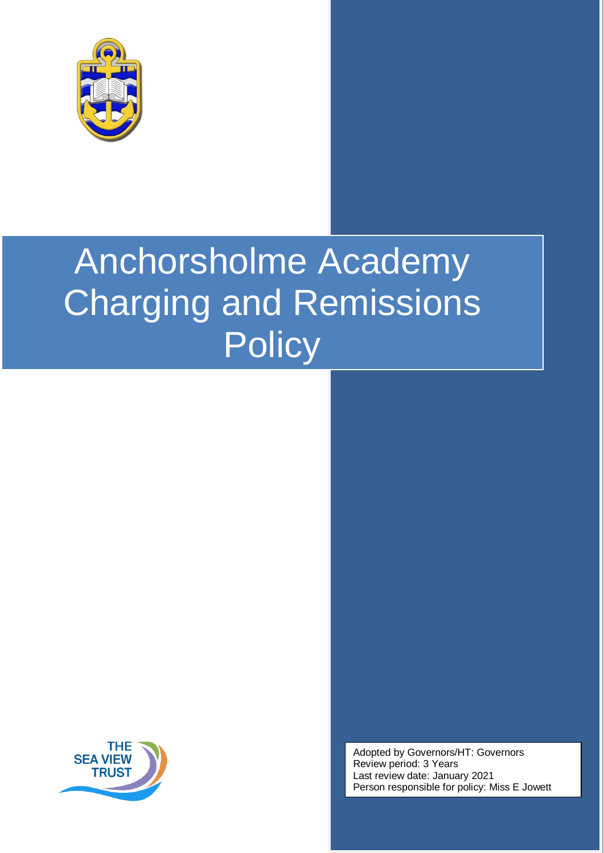

# Anchorsholme Academy Charging and Remissions **Policy**



Adopted by Governors/HT: Governors Review period: 3 Years Last review date: January 2021 Person responsible for policy: Miss E Jowett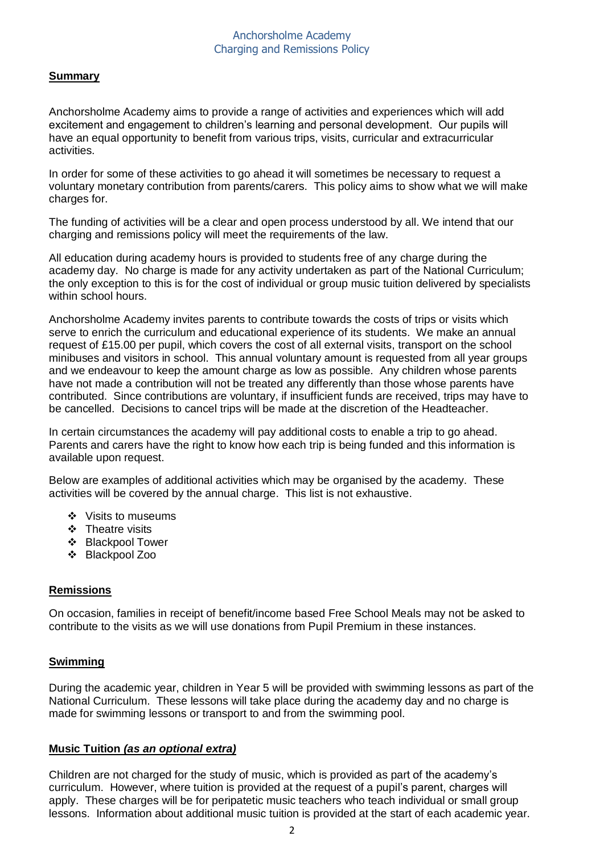## Anchorsholme Academy Charging and Remissions Policy

# **Summary**

Anchorsholme Academy aims to provide a range of activities and experiences which will add excitement and engagement to children's learning and personal development. Our pupils will have an equal opportunity to benefit from various trips, visits, curricular and extracurricular activities.

In order for some of these activities to go ahead it will sometimes be necessary to request a voluntary monetary contribution from parents/carers. This policy aims to show what we will make charges for.

The funding of activities will be a clear and open process understood by all. We intend that our charging and remissions policy will meet the requirements of the law.

All education during academy hours is provided to students free of any charge during the academy day. No charge is made for any activity undertaken as part of the National Curriculum; the only exception to this is for the cost of individual or group music tuition delivered by specialists within school hours.

Anchorsholme Academy invites parents to contribute towards the costs of trips or visits which serve to enrich the curriculum and educational experience of its students. We make an annual request of £15.00 per pupil, which covers the cost of all external visits, transport on the school minibuses and visitors in school. This annual voluntary amount is requested from all year groups and we endeavour to keep the amount charge as low as possible. Any children whose parents have not made a contribution will not be treated any differently than those whose parents have contributed. Since contributions are voluntary, if insufficient funds are received, trips may have to be cancelled. Decisions to cancel trips will be made at the discretion of the Headteacher.

In certain circumstances the academy will pay additional costs to enable a trip to go ahead. Parents and carers have the right to know how each trip is being funded and this information is available upon request.

Below are examples of additional activities which may be organised by the academy. These activities will be covered by the annual charge. This list is not exhaustive.

- ❖ Visits to museums
- ❖ Theatre visits
- Blackpool Tower
- Blackpool Zoo

#### **Remissions**

On occasion, families in receipt of benefit/income based Free School Meals may not be asked to contribute to the visits as we will use donations from Pupil Premium in these instances.

#### **Swimming**

During the academic year, children in Year 5 will be provided with swimming lessons as part of the National Curriculum. These lessons will take place during the academy day and no charge is made for swimming lessons or transport to and from the swimming pool.

#### **Music Tuition** *(as an optional extra)*

Children are not charged for the study of music, which is provided as part of the academy's curriculum. However, where tuition is provided at the request of a pupil's parent, charges will apply. These charges will be for peripatetic music teachers who teach individual or small group lessons. Information about additional music tuition is provided at the start of each academic year.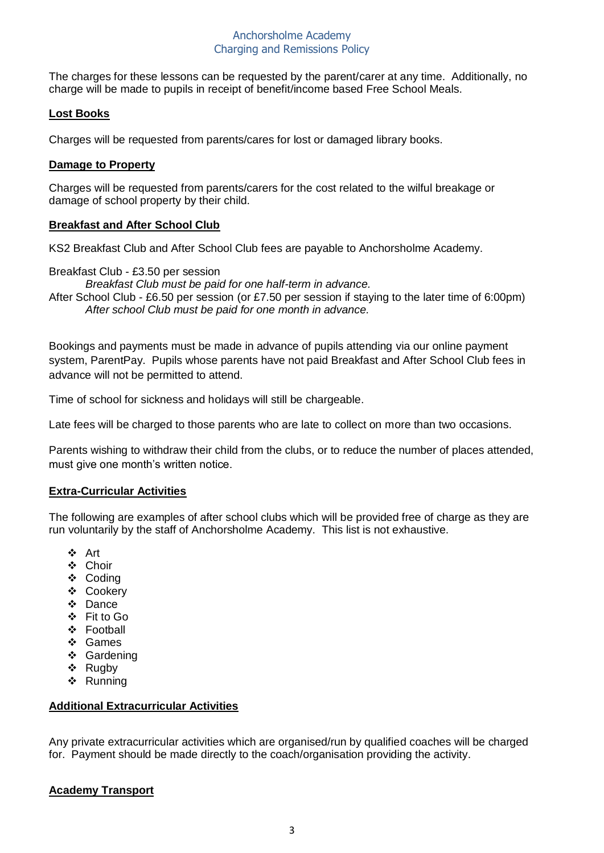# Anchorsholme Academy Charging and Remissions Policy

The charges for these lessons can be requested by the parent/carer at any time. Additionally, no charge will be made to pupils in receipt of benefit/income based Free School Meals.

# **Lost Books**

Charges will be requested from parents/cares for lost or damaged library books.

#### **Damage to Property**

Charges will be requested from parents/carers for the cost related to the wilful breakage or damage of school property by their child.

#### **Breakfast and After School Club**

KS2 Breakfast Club and After School Club fees are payable to Anchorsholme Academy.

Breakfast Club - £3.50 per session

*Breakfast Club must be paid for one half-term in advance.*

After School Club - £6.50 per session (or £7.50 per session if staying to the later time of 6:00pm) *After school Club must be paid for one month in advance.*

Bookings and payments must be made in advance of pupils attending via our online payment system, ParentPay. Pupils whose parents have not paid Breakfast and After School Club fees in advance will not be permitted to attend.

Time of school for sickness and holidays will still be chargeable.

Late fees will be charged to those parents who are late to collect on more than two occasions.

Parents wishing to withdraw their child from the clubs, or to reduce the number of places attended, must give one month's written notice.

#### **Extra-Curricular Activities**

The following are examples of after school clubs which will be provided free of charge as they are run voluntarily by the staff of Anchorsholme Academy. This list is not exhaustive.

- Art
- Choir
- ❖ Coding
- Cookery
- Dance
- Fit to Go
- ❖ Football
- Games
- ❖ Gardening
- ❖ Rugby
- Running

#### **Additional Extracurricular Activities**

Any private extracurricular activities which are organised/run by qualified coaches will be charged for. Payment should be made directly to the coach/organisation providing the activity.

#### **Academy Transport**